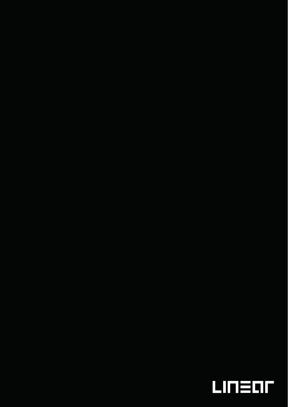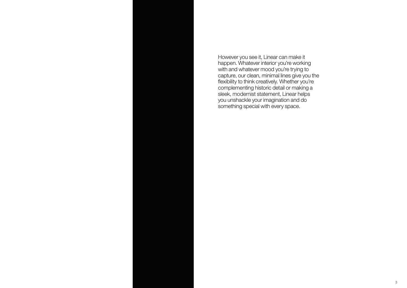

However you see it, Linear can make it happen. Whatever interior you're working with and whatever mood you're trying to capture, our clean, minimal lines give you the flexibility to think creatively. Whether you're complementing historic detail or making a sleek, modernist statement, Linear helps you unshackle your imagination and do something special with every space.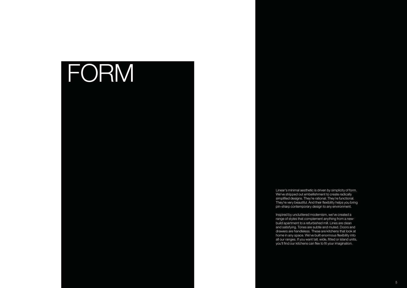## FORM

Linear's minimal aesthetic is driven by simplicity of form. We've stripped out embellishment to create radically simplified designs. They're rational. They're functional. They're very beautiful. And their flexibility helps you bring pin-sharp contemporary design to any environment.

Inspired by uncluttered modernism, we've created a range of styles that complement anything from a newbuild apartment to a refurbished mill. Lines are clean and satisfying. Tones are subtle and muted. Doors and drawers are handleless. These are kitchens that look at home in any space. We've built enormous flexibility into all our ranges. If you want tall, wide, fitted or island units, you'll find our kitchens can flex to fit your imagination.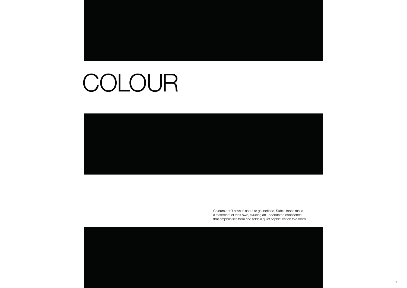# COLOUR

Colours don't have to shout to get noticed. Subtle tones make a statement of their own, exuding an understated confidence that emphasises form and adds a quiet sophistication to a room.

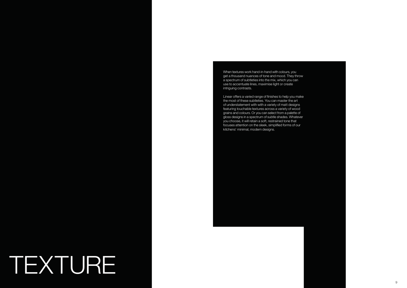## TEXTURE



When textures work hand-in-hand with colours, you get a thousand nuances of tone and mood. They throw a spectrum of subtleties into the mix, which you can use to accentuate lines, maximise light or create intriguing contrasts.

Linear offers a varied range of finishes to help you make the most of these subtleties. You can master the art of understatement with with a variety of matt designs featuring touchable textures across a variety of wood grains and colours. Or you can select from a palette of gloss designs in a spectrum of subtle shades. Whatever you choose, it will retain a soft, restrained tone that focuses attention on the sleek, simplified forms of our kitchens' minimal, modern designs.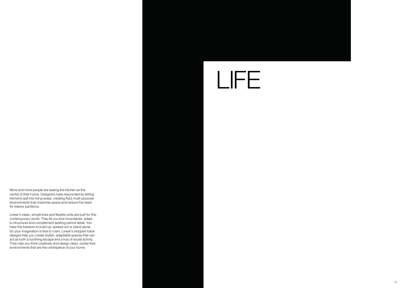# LIFE



#### More and more people are seeing the kitchen as the centre of their home. Designers have responded by letting kitchens spill into living areas, creating fluid, multi-purpose environments that maximise space and reduce the need for interior partitions.

Linear's clean, simple lines and flexible units are built for this contemporary world. They let you blur boundaries, adapt to structures and complement existing period detail. You have the freedom to build up, spread out or stand alone. So your imagination is free to roam. Linear's stripped-back designs help you create stylish, adaptable spaces that can act as both a soothing escape and a hub of social activity. They help you think creatively and design clean, clutter-free environments that are the centrepiece of your home.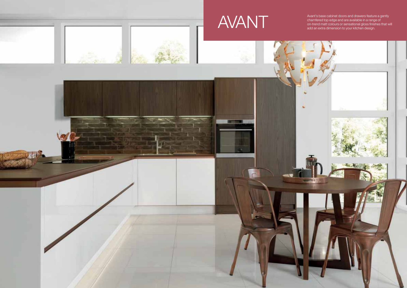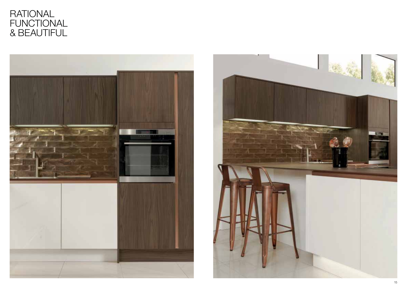

## RATIONAL FUNCTIONAL & BEAUTIFUL

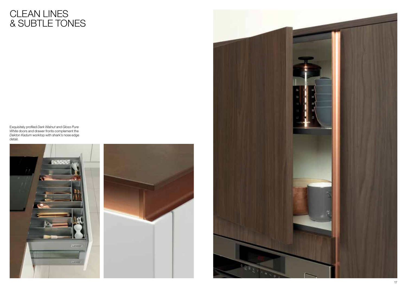Exquisitely profiled *Dark Walnut* and *Gloss Pure White* doors and drawer fronts complement the *Dekton Kadum* worktop with shark's nose edge detail.





## CLEAN LINES & SUBTLE TONES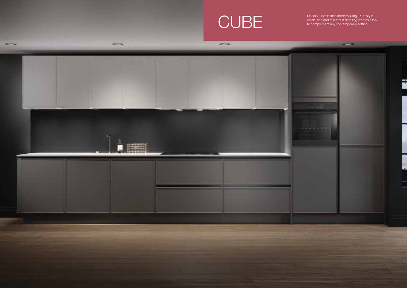

Linear Cube defines modern living. Pure style,<br>
clean lines and minimalist detailing creates a look<br>
to complement any contemporary setting.

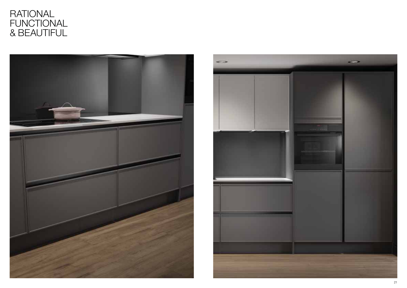## RATIONAL FUNCTIONAL & BEAUTIFUL



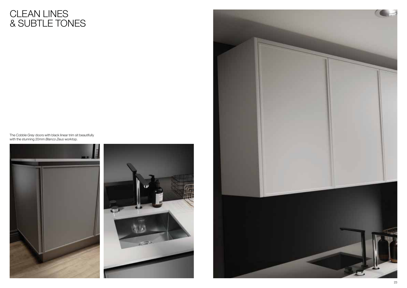The *Cobble Grey* doors with black linear trim sit beautifully with the stunning 20mm *Blanco Zeus* worktop.







## CLEAN LINES & SUBTLE TONES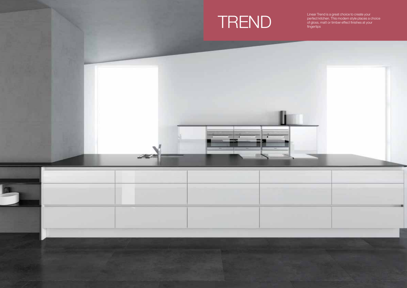



Linear Trend is a great choice to create your Enter Thermo's a great choice to create your<br>perfect kitchen. This modern style places a choice<br>fingertips<br>fingertips

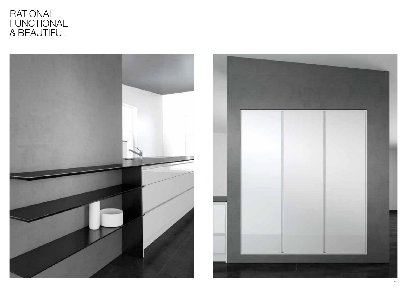## RATIONAL FUNCTIONAL & BEAUTIFUL



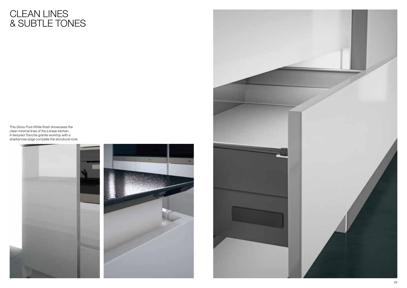This *Gloss Pure White* finish showcases the clean minimal lines of the a linear kitchen. A textured *Tranche* granite worktop with a sharksnose edge complete the storybook look.



![](_page_14_Picture_3.jpeg)

## CLEAN LINES & SUBTLE TONES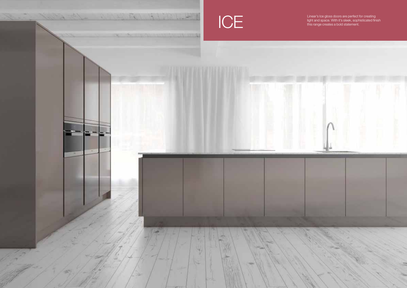![](_page_15_Picture_0.jpeg)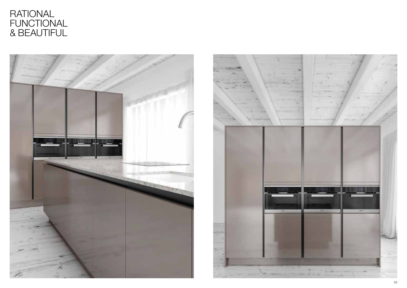## RATIONAL FUNCTIONAL & BEAUTIFUL

![](_page_16_Picture_1.jpeg)

![](_page_16_Picture_2.jpeg)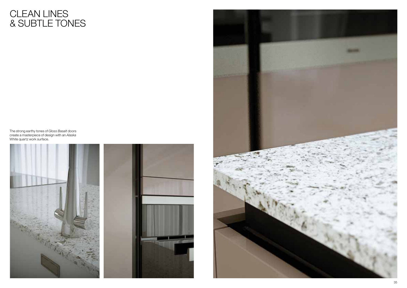The strong earthy tones of *Gloss Basalt* doors create a masterpiece of design with an *Alaska* White quartz work surface.

![](_page_17_Picture_2.jpeg)

![](_page_17_Picture_3.jpeg)

## CLEAN LINES & SUBTLE TONES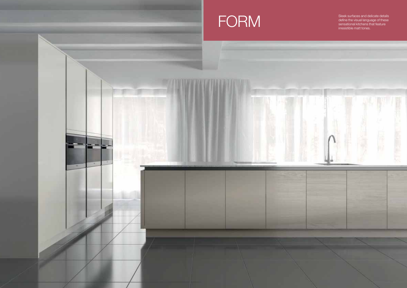Sleek surfaces and delicate details define the visual language of these

![](_page_18_Picture_0.jpeg)

![](_page_18_Picture_1.jpeg)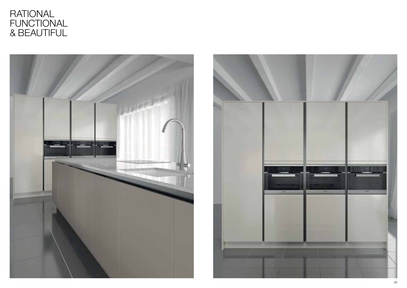## RATIONAL FUNCTIONAL & BEAUTIFUL

![](_page_19_Picture_1.jpeg)

![](_page_19_Picture_2.jpeg)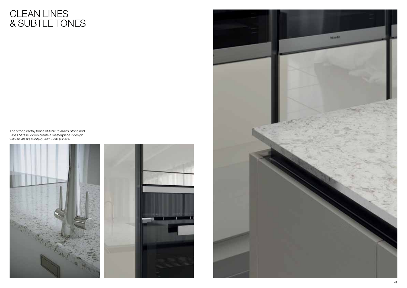The strong earthy tones of *Matt Textured Stone* and *Gloss Mussel* doors create a masterpiece if design with an *Alaska White* quartz work surface.

![](_page_20_Picture_2.jpeg)

![](_page_20_Picture_3.jpeg)

## CLEAN LINES & SUBTLE TONES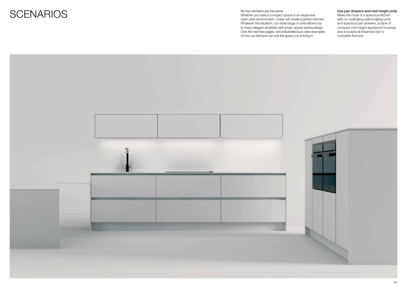![](_page_21_Picture_0.jpeg)

Whether you have a compact space or an expansive open-plan environment, Linear will create a perfect kitchen. Whatever the situation, our wide range of units allows you to marry elegant simplicity with smart, space-saving design. Over the next few pages, we've illustrated just a few examples of how our kitchens can suit the space you're living in.

![](_page_21_Picture_3.jpeg)

#### Use pan drawers and mid-height units

Make the most of a spacious kitchen with co-ordinating wall bridging units and spacious pan drawers, a bank of compact mid-height appliance housings and a sculptural breakfast bar to complete the look.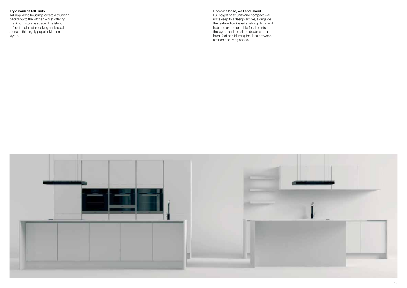#### Try a bank of Tall Units

Tall appliance housings create a stunning backdrop to the kitchen whilst offering maximum storage space. The island offers the ultimate cooking and social arena in this highly popular kitchen layout.

#### Combine base, wall and island

Full height base units and compact wall units keep this design simple, alongside the feature illuminated shelving. An island hob and extractor add a focal points to the layout and the island doubles as a breakfast bar, blurring the lines between kitchen and living space.

![](_page_22_Picture_4.jpeg)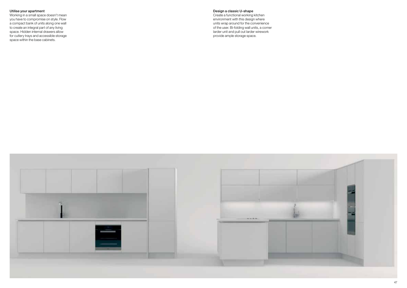#### Utilise your apartment

Working in a small space doesn't mean you have to compromise on style. Flow a compact bank of units along one wall to create an integral part of any living space. Hidden internal drawers allow for cutlery trays and accessible storage space within the base cabinets.

#### Design a classic U-shape

Create a functional working kitchen environment with this design where units wrap around for the convenience of the user. Bi-folding wall units, a corner larder unit and pull out larder wirework provide ample storage space.

![](_page_23_Picture_4.jpeg)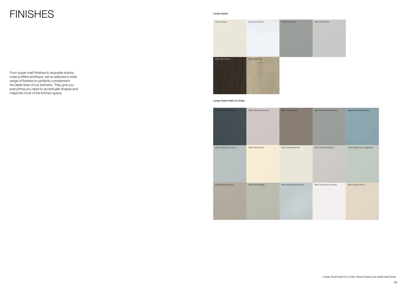From super matt finishes to exquisite sharksnose profiled worktops, we've selected a wide range of finishes to perfectly complement the sleek lines of our kitchens. They give you everything you need to accentuate shapes and make the most of the kitchen space.

## **FINISHES**

Linear Avant

| Matt Painted Anthracite | Matt Painted Cashmere | Matt Painted Clay        | Matt Painted Cobble Grey | Matt Painted Cook  |
|-------------------------|-----------------------|--------------------------|--------------------------|--------------------|
|                         |                       |                          |                          |                    |
|                         |                       |                          |                          |                    |
|                         |                       |                          |                          |                    |
| Matt Painted Dove Grey  | Matt Painted Ivory    | Matt Painted Mussel      | Matt Painted Platinum    | Matt Painted Duck  |
|                         |                       |                          |                          |                    |
|                         |                       |                          |                          |                    |
|                         |                       |                          |                          |                    |
|                         |                       |                          |                          |                    |
| Matt Painted Pumice     | Matt Painted Sage     | Matt Painted Skylon Grey | Matt Painted Snow White  | Matt Painted Stone |
|                         |                       |                          |                          |                    |
|                         |                       |                          |                          |                    |
|                         |                       |                          |                          |                    |
|                         |                       |                          |                          |                    |

![](_page_24_Picture_2.jpeg)

| Matt Painted Cashmere | Matt Painted Clay        | Matt Painted Cobble Grey | Matt Painted Cooks Blue    |
|-----------------------|--------------------------|--------------------------|----------------------------|
| Matt Painted Ivory    | Matt Painted Mussel      | Matt Painted Platinum    | Matt Painted Duck Egg Blue |
| Matt Painted Sage     | Matt Painted Skylon Grey | Matt Painted Snow White  | Matt Painted Stone         |

Linear Avant Paint to Order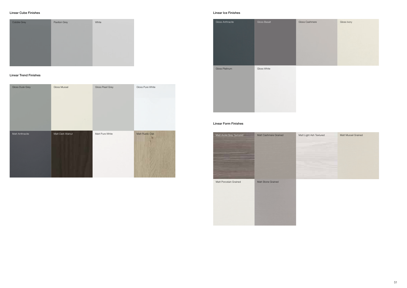![](_page_25_Picture_5.jpeg)

#### Linear Cube Finishes

![](_page_25_Picture_1.jpeg)

#### Linear Ice Finishes

#### Linear Trend Finishes

#### Linear Form Finishes

| Gloss Dusk Grey | Gloss Mussel     | Gloss Pearl Grey | Gloss Pure White |
|-----------------|------------------|------------------|------------------|
| Matt Anthracite | Matt Dark Walnut | Matt Pure White  | Matt Rustic Oak  |

| Matt Avola Grey Textured | Matt Cashmere Grained | Matt Light Ash Textured | Matt Mussel Grained |
|--------------------------|-----------------------|-------------------------|---------------------|
|                          |                       |                         |                     |
|                          |                       |                         |                     |
|                          |                       |                         |                     |
|                          |                       |                         |                     |
| Matt Porcelain Grained   | Matt Stone Grained    |                         |                     |
|                          |                       |                         |                     |
|                          |                       |                         |                     |
|                          |                       |                         |                     |
|                          |                       |                         |                     |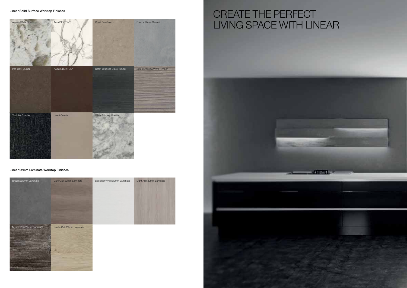Linear 22mm Laminate Worktop Finishes

![](_page_26_Picture_1.jpeg)

![](_page_26_Picture_3.jpeg)

## CREATE THE PERFECT LIVING SPACE WITH LINEAR

![](_page_26_Picture_5.jpeg)

![](_page_26_Picture_6.jpeg)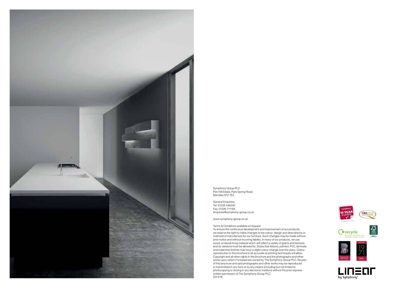![](_page_27_Picture_0.jpeg)

Symphony Group PLC Pen Hill Estate, Park Spring Road, Barnsley S72 7EZ

General Enquiries: Tel: 01226 446000 Fax: 01226 711185 enquiries@symphony-group.co.uk

www.symphony-group.co.uk

Terms & Conditions available on request

To ensure the continuous development and improvement of our products, we reserve the right to make changes to the colour, design and descriptions or methods of manufacture for our furniture. Such changes may be made without prior notice and without incurring liability. In many of our products, we use wood, a natural living material which will reflect a variety of grains and textures and so variance must be allowed for. Styles that feature, painted, PVC, laminate and melamine finishes may incur a slight colour change over the years. Colour reproduction in this brochure is as accurate as printing techniques will allow. Copyright and all other rights in this brochure and the photographs and other works upon which it is based are owned by The Symphony Group PLC. No part of this brochure and said photographs and other works may be reproduced or transmitted in any form or by any means (including but not limited to photocopying or storing in any electronic medium) without the prior express written permission of The Symphony Group PLC. 2017/18

![](_page_27_Picture_6.jpeg)